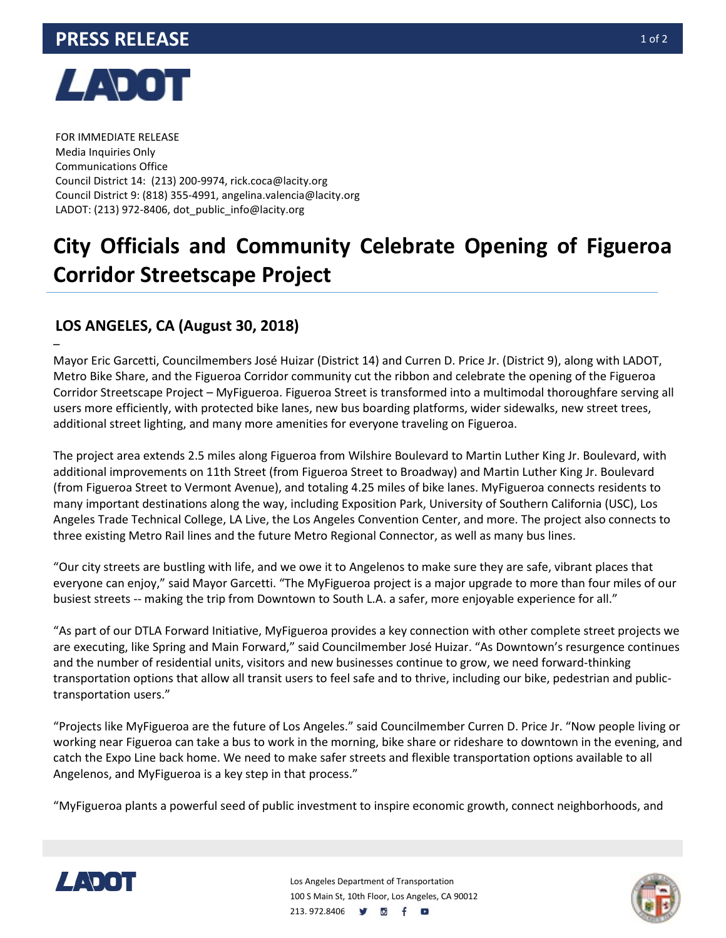

–

FOR IMMEDIATE RELEASE Media Inquiries Only Communications Office Council District 14: (213) 200-9974, rick.coca@lacity.org Council District 9: (818) 355-4991, angelina.valencia@lacity.org LADOT: (213) 972-8406, dot\_public\_info@lacity.org

## **City Officials and Community Celebrate Opening of Figueroa Corridor Streetscape Project**

## **LOS ANGELES, CA (August 30, 2018)**

Mayor Eric Garcetti, Councilmembers José Huizar (District 14) and Curren D. Price Jr. (District 9), along with LADOT, Metro Bike Share, and the Figueroa Corridor community cut the ribbon and celebrate the opening of the Figueroa Corridor Streetscape Project – MyFigueroa. Figueroa Street is transformed into a multimodal thoroughfare serving all users more efficiently, with protected bike lanes, new bus boarding platforms, wider sidewalks, new street trees, additional street lighting, and many more amenities for everyone traveling on Figueroa.

The project area extends 2.5 miles along Figueroa from Wilshire Boulevard to Martin Luther King Jr. Boulevard, with additional improvements on 11th Street (from Figueroa Street to Broadway) and Martin Luther King Jr. Boulevard (from Figueroa Street to Vermont Avenue), and totaling 4.25 miles of bike lanes. MyFigueroa connects residents to many important destinations along the way, including Exposition Park, University of Southern California (USC), Los Angeles Trade Technical College, LA Live, the Los Angeles Convention Center, and more. The project also connects to three existing Metro Rail lines and the future Metro Regional Connector, as well as many bus lines.

"Our city streets are bustling with life, and we owe it to Angelenos to make sure they are safe, vibrant places that everyone can enjoy," said Mayor Garcetti. "The MyFigueroa project is a major upgrade to more than four miles of our busiest streets -- making the trip from Downtown to South L.A. a safer, more enjoyable experience for all."

"As part of our DTLA Forward Initiative, MyFigueroa provides a key connection with other complete street projects we are executing, like Spring and Main Forward," said Councilmember José Huizar. "As Downtown's resurgence continues and the number of residential units, visitors and new businesses continue to grow, we need forward-thinking transportation options that allow all transit users to feel safe and to thrive, including our bike, pedestrian and publictransportation users."

"Projects like MyFigueroa are the future of Los Angeles." said Councilmember Curren D. Price Jr. "Now people living or working near Figueroa can take a bus to work in the morning, bike share or rideshare to downtown in the evening, and catch the Expo Line back home. We need to make safer streets and flexible transportation options available to all Angelenos, and MyFigueroa is a key step in that process."

"MyFigueroa plants a powerful seed of public investment to inspire economic growth, connect neighborhoods, and